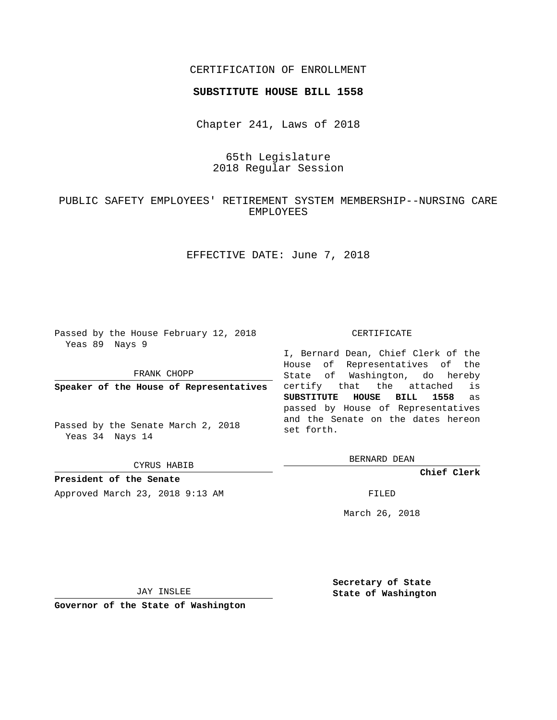## CERTIFICATION OF ENROLLMENT

#### **SUBSTITUTE HOUSE BILL 1558**

Chapter 241, Laws of 2018

# 65th Legislature 2018 Regular Session

# PUBLIC SAFETY EMPLOYEES' RETIREMENT SYSTEM MEMBERSHIP--NURSING CARE EMPLOYEES

EFFECTIVE DATE: June 7, 2018

Passed by the House February 12, 2018 Yeas 89 Nays 9

FRANK CHOPP

**Speaker of the House of Representatives**

Passed by the Senate March 2, 2018 Yeas 34 Nays 14

CYRUS HABIB

**President of the Senate**

Approved March 23, 2018 9:13 AM FILED

#### CERTIFICATE

I, Bernard Dean, Chief Clerk of the House of Representatives of the State of Washington, do hereby certify that the attached is **SUBSTITUTE HOUSE BILL 1558** as passed by House of Representatives and the Senate on the dates hereon set forth.

BERNARD DEAN

**Chief Clerk**

March 26, 2018

JAY INSLEE

**Governor of the State of Washington**

**Secretary of State State of Washington**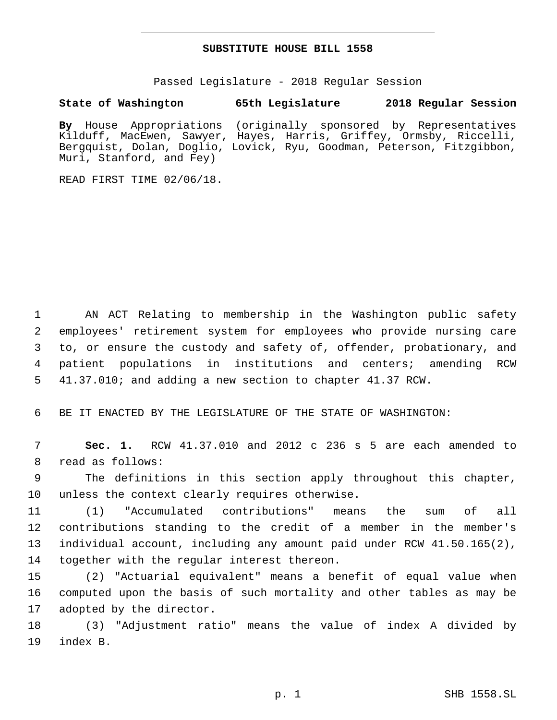## **SUBSTITUTE HOUSE BILL 1558**

Passed Legislature - 2018 Regular Session

**State of Washington 65th Legislature 2018 Regular Session**

**By** House Appropriations (originally sponsored by Representatives Kilduff, MacEwen, Sawyer, Hayes, Harris, Griffey, Ormsby, Riccelli, Bergquist, Dolan, Doglio, Lovick, Ryu, Goodman, Peterson, Fitzgibbon, Muri, Stanford, and Fey)

READ FIRST TIME 02/06/18.

 AN ACT Relating to membership in the Washington public safety employees' retirement system for employees who provide nursing care to, or ensure the custody and safety of, offender, probationary, and patient populations in institutions and centers; amending RCW 41.37.010; and adding a new section to chapter 41.37 RCW.

6 BE IT ENACTED BY THE LEGISLATURE OF THE STATE OF WASHINGTON:

7 **Sec. 1.** RCW 41.37.010 and 2012 c 236 s 5 are each amended to 8 read as follows:

9 The definitions in this section apply throughout this chapter, 10 unless the context clearly requires otherwise.

 (1) "Accumulated contributions" means the sum of all contributions standing to the credit of a member in the member's individual account, including any amount paid under RCW 41.50.165(2), 14 together with the regular interest thereon.

15 (2) "Actuarial equivalent" means a benefit of equal value when 16 computed upon the basis of such mortality and other tables as may be 17 adopted by the director.

18 (3) "Adjustment ratio" means the value of index A divided by 19 index B.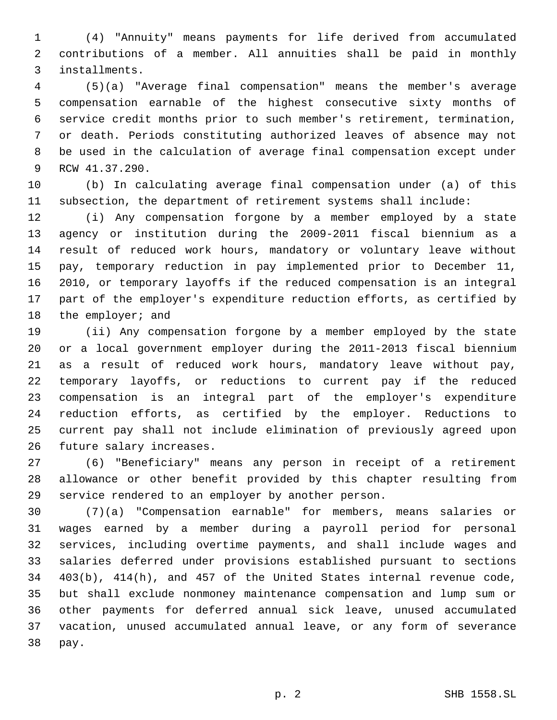(4) "Annuity" means payments for life derived from accumulated contributions of a member. All annuities shall be paid in monthly installments.3

 (5)(a) "Average final compensation" means the member's average compensation earnable of the highest consecutive sixty months of service credit months prior to such member's retirement, termination, or death. Periods constituting authorized leaves of absence may not be used in the calculation of average final compensation except under 9 RCW 41.37.290.

 (b) In calculating average final compensation under (a) of this subsection, the department of retirement systems shall include:

 (i) Any compensation forgone by a member employed by a state agency or institution during the 2009-2011 fiscal biennium as a result of reduced work hours, mandatory or voluntary leave without pay, temporary reduction in pay implemented prior to December 11, 2010, or temporary layoffs if the reduced compensation is an integral part of the employer's expenditure reduction efforts, as certified by 18 the employer; and

 (ii) Any compensation forgone by a member employed by the state or a local government employer during the 2011-2013 fiscal biennium as a result of reduced work hours, mandatory leave without pay, temporary layoffs, or reductions to current pay if the reduced compensation is an integral part of the employer's expenditure reduction efforts, as certified by the employer. Reductions to current pay shall not include elimination of previously agreed upon 26 future salary increases.

 (6) "Beneficiary" means any person in receipt of a retirement allowance or other benefit provided by this chapter resulting from service rendered to an employer by another person.

 (7)(a) "Compensation earnable" for members, means salaries or wages earned by a member during a payroll period for personal services, including overtime payments, and shall include wages and salaries deferred under provisions established pursuant to sections 403(b), 414(h), and 457 of the United States internal revenue code, but shall exclude nonmoney maintenance compensation and lump sum or other payments for deferred annual sick leave, unused accumulated vacation, unused accumulated annual leave, or any form of severance 38 pay.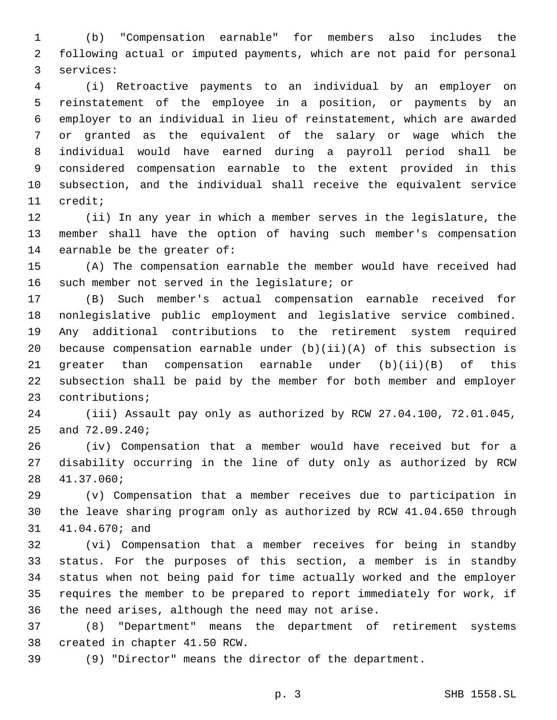(b) "Compensation earnable" for members also includes the following actual or imputed payments, which are not paid for personal 3 services:

 (i) Retroactive payments to an individual by an employer on reinstatement of the employee in a position, or payments by an employer to an individual in lieu of reinstatement, which are awarded or granted as the equivalent of the salary or wage which the individual would have earned during a payroll period shall be considered compensation earnable to the extent provided in this subsection, and the individual shall receive the equivalent service 11 credit;

 (ii) In any year in which a member serves in the legislature, the member shall have the option of having such member's compensation 14 earnable be the greater of:

 (A) The compensation earnable the member would have received had 16 such member not served in the legislature; or

 (B) Such member's actual compensation earnable received for nonlegislative public employment and legislative service combined. Any additional contributions to the retirement system required because compensation earnable under (b)(ii)(A) of this subsection is greater than compensation earnable under (b)(ii)(B) of this subsection shall be paid by the member for both member and employer 23 contributions;

 (iii) Assault pay only as authorized by RCW 27.04.100, 72.01.045, 25 and 72.09.240;

 (iv) Compensation that a member would have received but for a disability occurring in the line of duty only as authorized by RCW 41.37.060;28

 (v) Compensation that a member receives due to participation in the leave sharing program only as authorized by RCW 41.04.650 through 31 41.04.670; and

 (vi) Compensation that a member receives for being in standby status. For the purposes of this section, a member is in standby status when not being paid for time actually worked and the employer requires the member to be prepared to report immediately for work, if 36 the need arises, although the need may not arise.

 (8) "Department" means the department of retirement systems 38 created in chapter 41.50 RCW.

(9) "Director" means the director of the department.

p. 3 SHB 1558.SL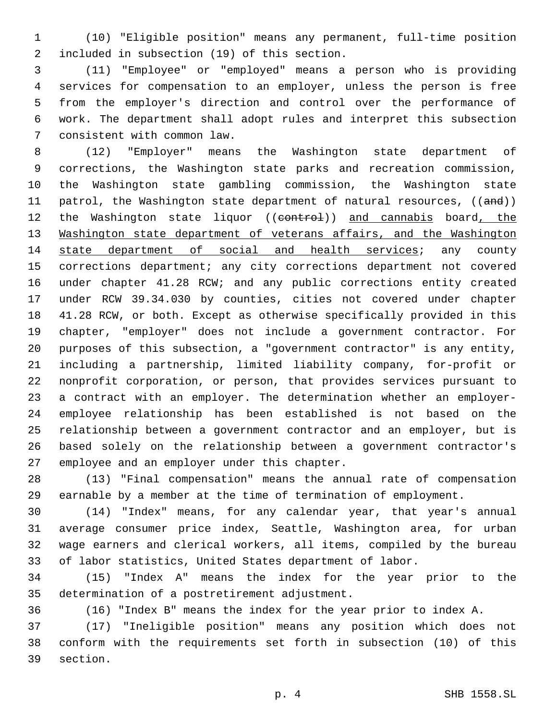(10) "Eligible position" means any permanent, full-time position 2 included in subsection (19) of this section.

 (11) "Employee" or "employed" means a person who is providing services for compensation to an employer, unless the person is free from the employer's direction and control over the performance of work. The department shall adopt rules and interpret this subsection 7 consistent with common law.

 (12) "Employer" means the Washington state department of corrections, the Washington state parks and recreation commission, the Washington state gambling commission, the Washington state 11 patrol, the Washington state department of natural resources, ((and)) 12 the Washington state liquor ((control)) and cannabis board, the 13 Washington state department of veterans affairs, and the Washington 14 state department of social and health services; any county corrections department; any city corrections department not covered under chapter 41.28 RCW; and any public corrections entity created under RCW 39.34.030 by counties, cities not covered under chapter 41.28 RCW, or both. Except as otherwise specifically provided in this chapter, "employer" does not include a government contractor. For purposes of this subsection, a "government contractor" is any entity, including a partnership, limited liability company, for-profit or nonprofit corporation, or person, that provides services pursuant to a contract with an employer. The determination whether an employer- employee relationship has been established is not based on the relationship between a government contractor and an employer, but is based solely on the relationship between a government contractor's 27 employee and an employer under this chapter.

 (13) "Final compensation" means the annual rate of compensation earnable by a member at the time of termination of employment.

 (14) "Index" means, for any calendar year, that year's annual average consumer price index, Seattle, Washington area, for urban wage earners and clerical workers, all items, compiled by the bureau of labor statistics, United States department of labor.

 (15) "Index A" means the index for the year prior to the 35 determination of a postretirement adjustment.

(16) "Index B" means the index for the year prior to index A.

 (17) "Ineligible position" means any position which does not conform with the requirements set forth in subsection (10) of this 39 section.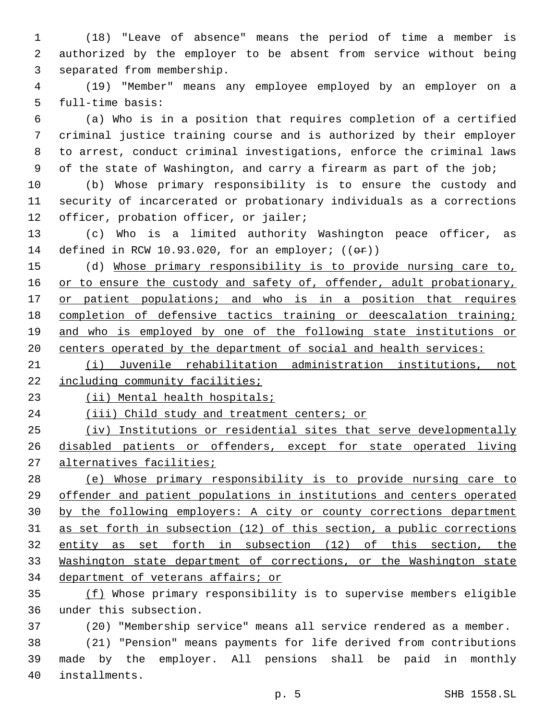(18) "Leave of absence" means the period of time a member is authorized by the employer to be absent from service without being 3 separated from membership.

 (19) "Member" means any employee employed by an employer on a 5 full-time basis:

 (a) Who is in a position that requires completion of a certified criminal justice training course and is authorized by their employer to arrest, conduct criminal investigations, enforce the criminal laws of the state of Washington, and carry a firearm as part of the job;

 (b) Whose primary responsibility is to ensure the custody and security of incarcerated or probationary individuals as a corrections 12 officer, probation officer, or jailer;

 (c) Who is a limited authority Washington peace officer, as 14 defined in RCW 10.93.020, for an employer;  $((\theta \cdot \hat{r}))$ 

 (d) Whose primary responsibility is to provide nursing care to, 16 or to ensure the custody and safety of, offender, adult probationary, 17 or patient populations; and who is in a position that requires completion of defensive tactics training or deescalation training; 19 and who is employed by one of the following state institutions or centers operated by the department of social and health services:

 (i) Juvenile rehabilitation administration institutions, not 22 including community facilities;

23 (ii) Mental health hospitals;

24 (iii) Child study and treatment centers; or

 (iv) Institutions or residential sites that serve developmentally disabled patients or offenders, except for state operated living alternatives facilities;

 (e) Whose primary responsibility is to provide nursing care to offender and patient populations in institutions and centers operated by the following employers: A city or county corrections department as set forth in subsection (12) of this section, a public corrections 32 entity as set forth in subsection (12) of this section, the Washington state department of corrections, or the Washington state department of veterans affairs; or

 (f) Whose primary responsibility is to supervise members eligible 36 under this subsection.

(20) "Membership service" means all service rendered as a member.

 (21) "Pension" means payments for life derived from contributions made by the employer. All pensions shall be paid in monthly installments.40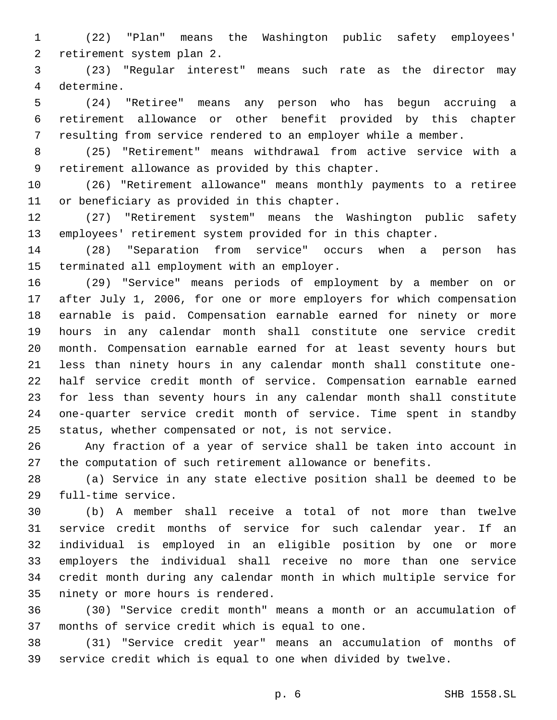(22) "Plan" means the Washington public safety employees' 2 retirement system plan 2.

 (23) "Regular interest" means such rate as the director may 4 determine.

 (24) "Retiree" means any person who has begun accruing a retirement allowance or other benefit provided by this chapter resulting from service rendered to an employer while a member.

 (25) "Retirement" means withdrawal from active service with a 9 retirement allowance as provided by this chapter.

 (26) "Retirement allowance" means monthly payments to a retiree 11 or beneficiary as provided in this chapter.

 (27) "Retirement system" means the Washington public safety employees' retirement system provided for in this chapter.

 (28) "Separation from service" occurs when a person has 15 terminated all employment with an employer.

 (29) "Service" means periods of employment by a member on or after July 1, 2006, for one or more employers for which compensation earnable is paid. Compensation earnable earned for ninety or more hours in any calendar month shall constitute one service credit month. Compensation earnable earned for at least seventy hours but less than ninety hours in any calendar month shall constitute one- half service credit month of service. Compensation earnable earned for less than seventy hours in any calendar month shall constitute one-quarter service credit month of service. Time spent in standby status, whether compensated or not, is not service.

 Any fraction of a year of service shall be taken into account in the computation of such retirement allowance or benefits.

 (a) Service in any state elective position shall be deemed to be 29 full-time service.

 (b) A member shall receive a total of not more than twelve service credit months of service for such calendar year. If an individual is employed in an eligible position by one or more employers the individual shall receive no more than one service credit month during any calendar month in which multiple service for 35 ninety or more hours is rendered.

 (30) "Service credit month" means a month or an accumulation of 37 months of service credit which is equal to one.

 (31) "Service credit year" means an accumulation of months of service credit which is equal to one when divided by twelve.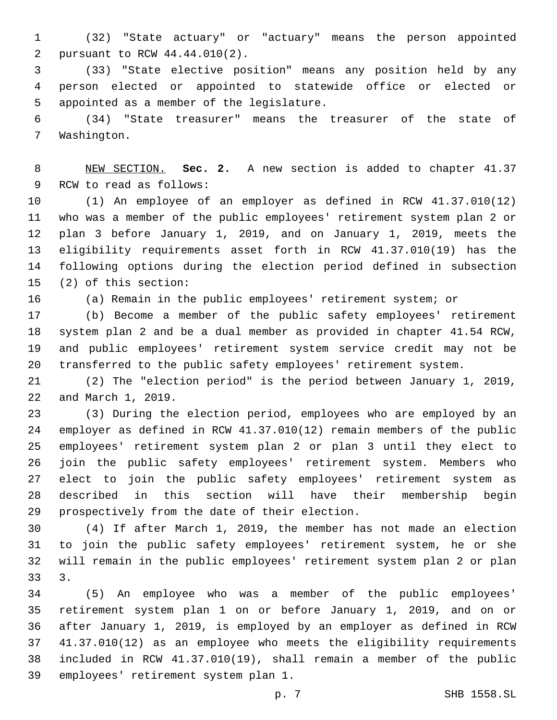(32) "State actuary" or "actuary" means the person appointed 2 pursuant to RCW 44.44.010(2).

 (33) "State elective position" means any position held by any person elected or appointed to statewide office or elected or 5 appointed as a member of the legislature.

 (34) "State treasurer" means the treasurer of the state of 7 Washington.

 NEW SECTION. **Sec. 2.** A new section is added to chapter 41.37 9 RCW to read as follows:

 (1) An employee of an employer as defined in RCW 41.37.010(12) who was a member of the public employees' retirement system plan 2 or plan 3 before January 1, 2019, and on January 1, 2019, meets the eligibility requirements asset forth in RCW 41.37.010(19) has the following options during the election period defined in subsection (2) of this section:15

(a) Remain in the public employees' retirement system; or

 (b) Become a member of the public safety employees' retirement system plan 2 and be a dual member as provided in chapter 41.54 RCW, and public employees' retirement system service credit may not be transferred to the public safety employees' retirement system.

 (2) The "election period" is the period between January 1, 2019, 22 and March 1, 2019.

 (3) During the election period, employees who are employed by an employer as defined in RCW 41.37.010(12) remain members of the public employees' retirement system plan 2 or plan 3 until they elect to join the public safety employees' retirement system. Members who elect to join the public safety employees' retirement system as described in this section will have their membership begin 29 prospectively from the date of their election.

 (4) If after March 1, 2019, the member has not made an election to join the public safety employees' retirement system, he or she will remain in the public employees' retirement system plan 2 or plan 3.

 (5) An employee who was a member of the public employees' retirement system plan 1 on or before January 1, 2019, and on or after January 1, 2019, is employed by an employer as defined in RCW 41.37.010(12) as an employee who meets the eligibility requirements included in RCW 41.37.010(19), shall remain a member of the public 39 employees' retirement system plan 1.